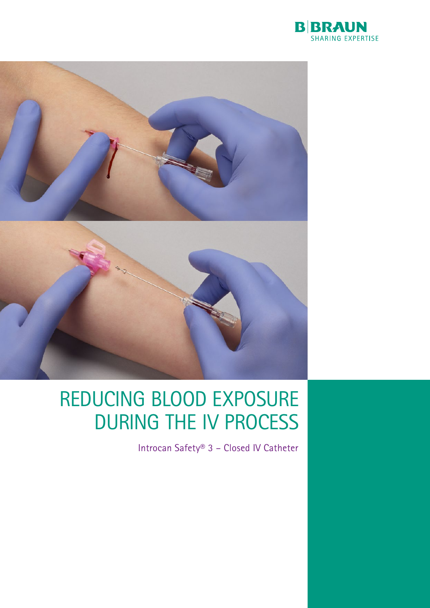



# REDUCING BLOOD EXPOSURE DURING THE IV PROCESS

Introcan Safety® 3 – Closed IV Catheter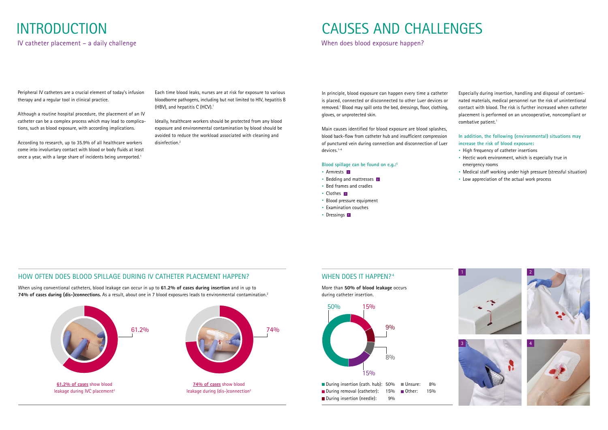# INTRODUCTION

IV catheter placement – a daily challenge

Peripheral IV catheters are a crucial element of today's infusion therapy and a regular tool in clinical practice.

According to research, up to 35.9% of all healthcare workers come into involuntary contact with blood or body fluids at least once a year, with a large share of incidents being unreported.<sup>1</sup>

Although a routine hospital procedure, the placement of an IV catheter can be a complex process which may lead to complications, such as blood exposure, with according implications.

Ideally, healthcare workers should be protected from any blood exposure and environmental contamination by blood should be avoided to reduce the workload associated with cleaning and disinfection.<sup>2</sup>

Each time blood leaks, nurses are at risk for exposure to various bloodborne pathogens, including but not limited to HIV, hepatitis B (HBV), and hepatitis C (HCV).1



Especially during insertion, handling and disposal of contaminated materials, medical personnel run the risk of unintentional contact with blood. The risk is further increased when catheter placement is performed on an uncooperative, noncompliant or combative patient.<sup>1</sup>

When using conventional catheters, blood leakage can occur in up to **61.2% of cases during insertion** and in up to **74% of cases during (dis-)connections.** As a result, about one in 7 blood exposures leads to environmental contamination.2

## HOW OFTEN DOES BLOOD SPILLAGE DURING IV CATHETER PLACEMENT HAPPEN?

## CAUSES AND CHALLENGES

When does blood exposure happen?



In principle, blood exposure can happen every time a catheter is placed, connected or disconnected to other Luer devices or removed.<sup>1</sup> Blood may spill onto the bed, dressings, floor, clothing, gloves, or unprotected skin.

Main causes identified for blood exposure are blood splashes, blood back-flow from catheter hub and insufficient compression of punctured vein during connection and disconnection of Luer devices.1-4

### **Blood spillage can be found on e.g.:5**

## WHEN DOES IT HAPPEN? <sup>4</sup>

- · Armrests 1
- · Bedding and mattresses 2
- · Bed frames and cradles
- · Clothes 3
- · Blood pressure equipment
- · Examination couches
- · Dressings 4



### **In addition, the following (environmental) situations may increase the risk of blood exposure:**

- · High frequency of catheter insertions
- · Hectic work environment, which is especially true in emergency rooms
- · Medical staff working under high pressure (stressful situation)
- · Low appreciation of the actual work process

More than **50% of blood leakage** occurs during catheter insertion.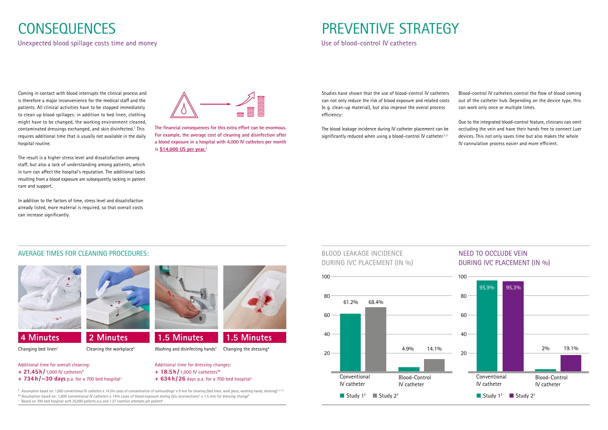# **CONSEQUENCES**

Unexpected blood spillage costs time and money

Coming in contact with blood interrupts the clinical process and is therefore a major inconvenience for the medical staff and the patients. All clinical activities have to be stopped immediately to clean up blood spillages: in addition to bed linen, clothing might have to be changed, the working environment cleaned, contaminated dressings exchanged, and skin disinfected.<sup>1</sup> This requires additional time that is usually not available in the daily hospital routine.

The result is a higher stress level and dissatisfaction among staff, but also a lack of understanding among patients, which in turn can affect the hospital's reputation. The additional tasks resulting from a blood exposure are subsequently lacking in patient care and support.

The blood leakage incidence during IV catheter placement can be significantly reduced when using a blood-control IV catheter. $2,3$ 

In addition to the factors of time, stress level and dissatisfaction already listed, more material is required, so that overall costs can increase significantly.



## AVERAGE TIMES FOR CLEANING PROCEDURES:





### Changing bed linen<sup>1</sup> Cleaning the workplace<sup>5</sup> Washing and disinfecting hands<sup>7</sup> Changing the dressing<sup>8</sup>

BLOOD LEAKAGE INCIDENCE DURING IVC PLACEMENT (IN %)

## NEED TO OCCLUDE VEIN DURING IVC PLACEMENT (IN %)





# PREVENTIVE STRATEGY

Use of blood-control IV catheters

Studies have shown that the use of blood-control IV catheters can not only reduce the risk of blood exposure and related costs (e. g. clean-up material), but also improve the overal process efficiency:

Blood-control IV catheters control the flow of blood coming out of the catheter hub. Depending on the device type, this can work only once or multiple times.

Due to the integrated blood-control feature, clinicans can omit occluding the vein and have their hands free to connect Luer devices. This not only saves time but also makes the whole IV cannulation process easier and more efficient.

**The financial consequences for this extra effort can be enormous. For example, the average cost of cleaning and disinfection after a blood exposure in a hospital with 4,000 IV catheters per month is \$14,000 US per year.1**

- Additional time for overall cleaning:
- **+ 21.45h/** 1,000 IV catheters\*
- **+ 734 h /~30 days** p.a. for a 700 bed hospital+
- 
- 

- 
- Additional time for dressing changes:
- **+ 18.5 h /** 1,000 IV catheters\*\*
- **+ 634 h / 26** days p.a. for a 700 bed hospital+

 $^*$  Assumption based on: 1,000 conventional IV catheters x 14.3% cases of contamination of surroundings<sup>2</sup> x 9 min for cleaning (bed linen, work place, washing hands, dressing)<sup>1,5,7,8</sup>

 $^{**}$  Assumption based on: 1,000 conventional IV catheters x 74% cases of blood exposure during (dis-)connections $^{\rm 2}$  x 1.5 min for dressing change $^{\rm e}$ 

 $+$  Based on 700 bed hospital with 25,000 patients p.a. and 1.37 insertion attempts per patient<sup>6</sup>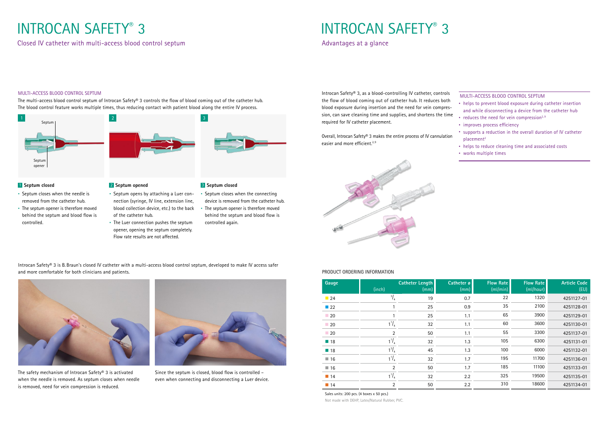Closed IV catheter with multi-access blood control septum and a september of the control septum Advantages at a glance

# INTROCAN SAFETY® 3 NITROCAN SAFETY® 3

## 2 **Septum opened**

- · Septum opens by attaching a Luer connection (syringe, IV line, extension line, blood collection device, etc.) to the back of the catheter hub.
- · The Luer connection pushes the septum opener, opening the septum completely. Flow rate results are not affected.

### 1 **Septum closed**

- · Septum closes when the needle is removed from the catheter hub.
- · The septum opener is therefore moved behind the septum and blood flow is controlled.





### MULTI-ACCESS BLOOD CONTROL SEPTUM

The multi-access blood control septum of Introcan Safety® 3 controls the flow of blood coming out of the catheter hub. The blood control feature works multiple times, thus reducing contact with patient blood along the entire IV process.

> Overall, Introcan Safety® 3 makes the entire process of IV cannulation easier and more efficient.<sup>2,9</sup>



### 3 **Septum closed**

- · Septum closes when the connecting device is removed from the catheter hub.
- · The septum opener is therefore moved behind the septum and blood flow is controlled again.



Introcan Safety® 3, as a blood-controlling IV catheter, controls the flow of blood coming out of catheter hub. It reduces both blood exposure during insertion and the need for vein compression, can save cleaning time and supplies, and shortens the time required for IV catheter placement.

MULTI-ACCESS BLOOD CONTROL SEPTUM

- · helps to prevent blood exposure during catheter insertion and while disconnecting a device from the catheter hub
- $\cdot$  reduces the need for vein compression<sup>2,9</sup>
- · improves process efficiency
- · supports a reduction in the overall duration of IV catheter placement2
- · helps to reduce cleaning time and associated costs
- · works multiple times

| Gauge             | (inch)         | <b>Catheter Length</b><br>(mm) | Catheter ø<br>(mm) | Flow Rate<br>(mI/min) | <b>Flow Rate</b><br>(mI/hour) | <b>Article Code</b><br>(EU) |
|-------------------|----------------|--------------------------------|--------------------|-----------------------|-------------------------------|-----------------------------|
| $\blacksquare$ 24 | $\frac{3}{4}$  | 19                             | 0.7                | 22                    | 1320                          | 4251127-01                  |
| $\Box$ 22         |                | 25                             | 0.9                | 35                    | 2100                          | 4251128-01                  |
| $\Box$ 20         |                | 25                             | 1.1                | 65                    | 3900                          | 4251129-01                  |
| $\Box$ 20         | $1^1/4$        | 32                             | 1.1                | 60                    | 3600                          | 4251130-01                  |
| $\Box$ 20         | $\overline{2}$ | 50                             | 1.1                | 55                    | 3300                          | 4251137-01                  |
| $\blacksquare$ 18 | $1^1/4$        | 32                             | 1.3                | 105                   | 6300                          | 4251131-01                  |
| $\blacksquare$ 18 | $1^{3}/_{4}$   | 45                             | 1.3                | 100                   | 6000                          | 4251132-01                  |
| $\Box$ 16         | $1^{1/4}$      | 32                             | 1.7                | 195                   | 11700                         | 4251136-01                  |
| $\blacksquare$ 16 | $\overline{2}$ | 50                             | 1.7                | 185                   | 11100                         | 4251133-01                  |
| $\blacksquare$ 14 | $1^1/4$        | 32                             | 2.2                | 325                   | 19500                         | 4251135-01                  |
| $\blacksquare$ 14 | $\overline{2}$ | 50                             | 2.2                | 310                   | 18600                         | 4251134-01                  |

### PRODUCT ORDERING INFORMATION



The safety mechanism of Introcan Safety® 3 is activated when the needle is removed. As septum closes when needle is removed, need for vein compression is reduced.



Since the septum is closed, blood flow is controlled – even when connecting and disconnecting a Luer device.

Introcan Safety® 3 is B. Braun's closed IV catheter with a multi-access blood control septum, developed to make IV access safer and more comfortable for both clinicians and patients.

> Sales units: 200 pcs. (4 boxes x 50 pcs.) Not made with DEHP, Latex/Natural Rubber, PVC.